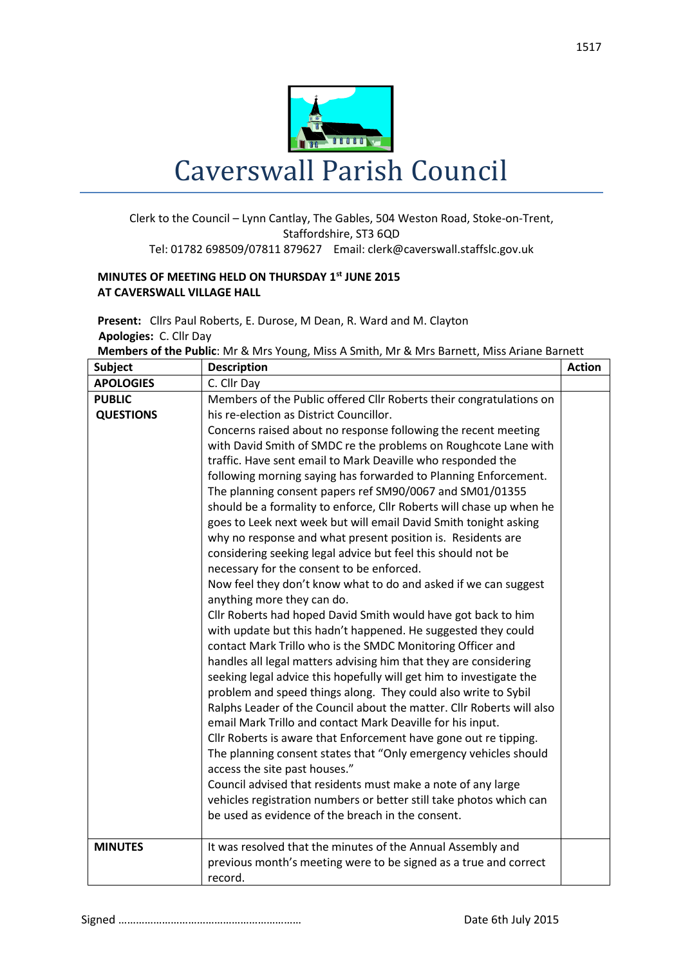

## Caverswall Parish Council

## Clerk to the Council – Lynn Cantlay, The Gables, 504 Weston Road, Stoke-on-Trent, Staffordshire, ST3 6QD Tel: 01782 698509/07811 879627 Email: clerk@caverswall.staffslc.gov.uk

## **MINUTES OF MEETING HELD ON THURSDAY 1 st JUNE 2015 AT CAVERSWALL VILLAGE HALL**

**Present:** Cllrs Paul Roberts, E. Durose, M Dean, R. Ward and M. Clayton  **Apologies:** C. Cllr Day

| <b>Members of the Public:</b> Mr & Mrs Young, Miss A Smith, Mr & Mrs Barnett, Miss Ariane Barnett |  |  |  |
|---------------------------------------------------------------------------------------------------|--|--|--|
|---------------------------------------------------------------------------------------------------|--|--|--|

| <b>Subject</b>   | <b>Description</b>                                                    | <b>Action</b> |
|------------------|-----------------------------------------------------------------------|---------------|
| <b>APOLOGIES</b> | C. Cllr Day                                                           |               |
| <b>PUBLIC</b>    | Members of the Public offered Cllr Roberts their congratulations on   |               |
| <b>QUESTIONS</b> | his re-election as District Councillor.                               |               |
|                  | Concerns raised about no response following the recent meeting        |               |
|                  | with David Smith of SMDC re the problems on Roughcote Lane with       |               |
|                  | traffic. Have sent email to Mark Deaville who responded the           |               |
|                  | following morning saying has forwarded to Planning Enforcement.       |               |
|                  | The planning consent papers ref SM90/0067 and SM01/01355              |               |
|                  | should be a formality to enforce, Cllr Roberts will chase up when he  |               |
|                  | goes to Leek next week but will email David Smith tonight asking      |               |
|                  | why no response and what present position is. Residents are           |               |
|                  | considering seeking legal advice but feel this should not be          |               |
|                  | necessary for the consent to be enforced.                             |               |
|                  | Now feel they don't know what to do and asked if we can suggest       |               |
|                  | anything more they can do.                                            |               |
|                  | Cllr Roberts had hoped David Smith would have got back to him         |               |
|                  | with update but this hadn't happened. He suggested they could         |               |
|                  | contact Mark Trillo who is the SMDC Monitoring Officer and            |               |
|                  | handles all legal matters advising him that they are considering      |               |
|                  | seeking legal advice this hopefully will get him to investigate the   |               |
|                  | problem and speed things along. They could also write to Sybil        |               |
|                  | Ralphs Leader of the Council about the matter. Cllr Roberts will also |               |
|                  | email Mark Trillo and contact Mark Deaville for his input.            |               |
|                  | Cllr Roberts is aware that Enforcement have gone out re tipping.      |               |
|                  | The planning consent states that "Only emergency vehicles should      |               |
|                  | access the site past houses."                                         |               |
|                  | Council advised that residents must make a note of any large          |               |
|                  | vehicles registration numbers or better still take photos which can   |               |
|                  | be used as evidence of the breach in the consent.                     |               |
| <b>MINUTES</b>   | It was resolved that the minutes of the Annual Assembly and           |               |
|                  | previous month's meeting were to be signed as a true and correct      |               |
|                  | record.                                                               |               |
|                  |                                                                       |               |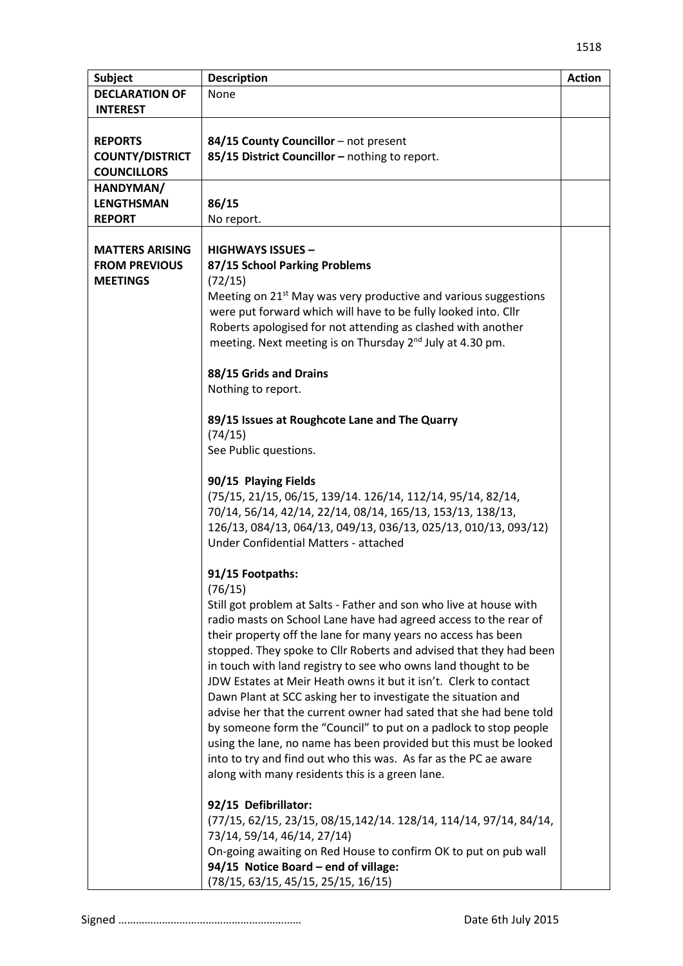| <b>Subject</b>                                                    | <b>Description</b>                                                                                                                                                                                                                                                                                                                                                                                                                                                                                                                                                                                                                                                                                                                                                                                                                                                                                                                                                                                                                                                                                                                                                                                                                                                                                                                                                                                                                                                                                                                                                                                                                                                                                                                                                                                                                                                                                               | <b>Action</b> |
|-------------------------------------------------------------------|------------------------------------------------------------------------------------------------------------------------------------------------------------------------------------------------------------------------------------------------------------------------------------------------------------------------------------------------------------------------------------------------------------------------------------------------------------------------------------------------------------------------------------------------------------------------------------------------------------------------------------------------------------------------------------------------------------------------------------------------------------------------------------------------------------------------------------------------------------------------------------------------------------------------------------------------------------------------------------------------------------------------------------------------------------------------------------------------------------------------------------------------------------------------------------------------------------------------------------------------------------------------------------------------------------------------------------------------------------------------------------------------------------------------------------------------------------------------------------------------------------------------------------------------------------------------------------------------------------------------------------------------------------------------------------------------------------------------------------------------------------------------------------------------------------------------------------------------------------------------------------------------------------------|---------------|
| <b>DECLARATION OF</b><br><b>INTEREST</b>                          | None                                                                                                                                                                                                                                                                                                                                                                                                                                                                                                                                                                                                                                                                                                                                                                                                                                                                                                                                                                                                                                                                                                                                                                                                                                                                                                                                                                                                                                                                                                                                                                                                                                                                                                                                                                                                                                                                                                             |               |
| <b>REPORTS</b><br><b>COUNTY/DISTRICT</b><br><b>COUNCILLORS</b>    | 84/15 County Councillor - not present<br>85/15 District Councillor - nothing to report.                                                                                                                                                                                                                                                                                                                                                                                                                                                                                                                                                                                                                                                                                                                                                                                                                                                                                                                                                                                                                                                                                                                                                                                                                                                                                                                                                                                                                                                                                                                                                                                                                                                                                                                                                                                                                          |               |
| HANDYMAN/<br><b>LENGTHSMAN</b><br><b>REPORT</b>                   | 86/15<br>No report.                                                                                                                                                                                                                                                                                                                                                                                                                                                                                                                                                                                                                                                                                                                                                                                                                                                                                                                                                                                                                                                                                                                                                                                                                                                                                                                                                                                                                                                                                                                                                                                                                                                                                                                                                                                                                                                                                              |               |
| <b>MATTERS ARISING</b><br><b>FROM PREVIOUS</b><br><b>MEETINGS</b> | <b>HIGHWAYS ISSUES -</b><br>87/15 School Parking Problems<br>(72/15)<br>Meeting on 21 <sup>st</sup> May was very productive and various suggestions<br>were put forward which will have to be fully looked into. Cllr<br>Roberts apologised for not attending as clashed with another<br>meeting. Next meeting is on Thursday 2 <sup>nd</sup> July at 4.30 pm.<br>88/15 Grids and Drains<br>Nothing to report.<br>89/15 Issues at Roughcote Lane and The Quarry<br>(74/15)<br>See Public questions.<br>90/15 Playing Fields<br>(75/15, 21/15, 06/15, 139/14. 126/14, 112/14, 95/14, 82/14,<br>70/14, 56/14, 42/14, 22/14, 08/14, 165/13, 153/13, 138/13,<br>126/13, 084/13, 064/13, 049/13, 036/13, 025/13, 010/13, 093/12)<br>Under Confidential Matters - attached<br>91/15 Footpaths:<br>(76/15)<br>Still got problem at Salts - Father and son who live at house with<br>radio masts on School Lane have had agreed access to the rear of<br>their property off the lane for many years no access has been<br>stopped. They spoke to Cllr Roberts and advised that they had been<br>in touch with land registry to see who owns land thought to be<br>JDW Estates at Meir Heath owns it but it isn't. Clerk to contact<br>Dawn Plant at SCC asking her to investigate the situation and<br>advise her that the current owner had sated that she had bene told<br>by someone form the "Council" to put on a padlock to stop people<br>using the lane, no name has been provided but this must be looked<br>into to try and find out who this was. As far as the PC ae aware<br>along with many residents this is a green lane.<br>92/15 Defibrillator:<br>(77/15, 62/15, 23/15, 08/15, 142/14. 128/14, 114/14, 97/14, 84/14,<br>73/14, 59/14, 46/14, 27/14)<br>On-going awaiting on Red House to confirm OK to put on pub wall<br>94/15 Notice Board - end of village:<br>(78/15, 63/15, 45/15, 25/15, 16/15) |               |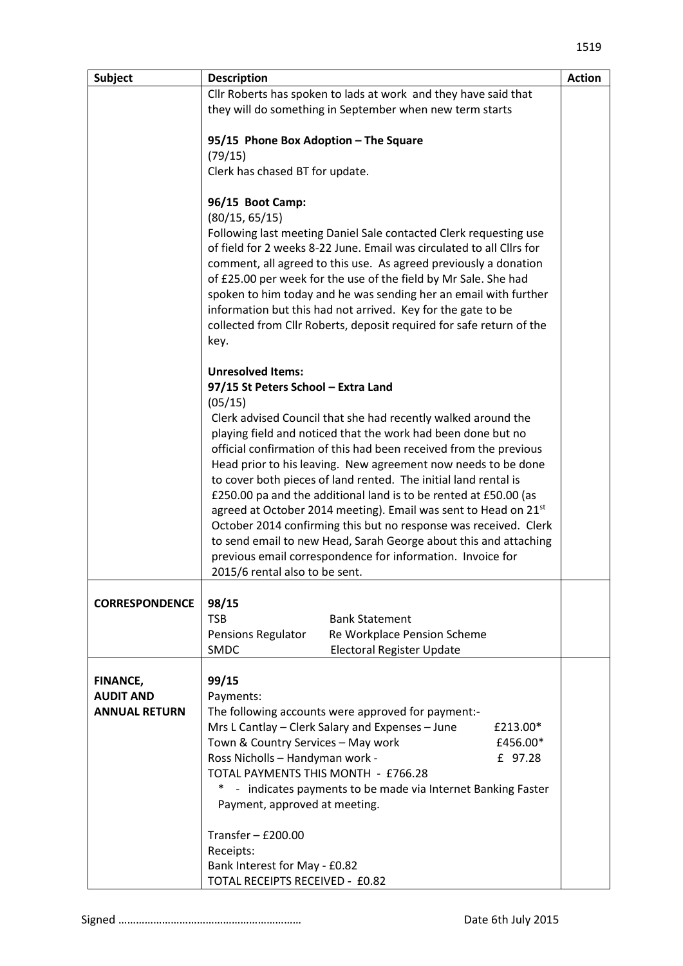| <b>Subject</b>                      | <b>Description</b>                                                                                                                         | <b>Action</b> |  |
|-------------------------------------|--------------------------------------------------------------------------------------------------------------------------------------------|---------------|--|
|                                     | Cllr Roberts has spoken to lads at work and they have said that                                                                            |               |  |
|                                     | they will do something in September when new term starts                                                                                   |               |  |
|                                     | 95/15 Phone Box Adoption - The Square                                                                                                      |               |  |
|                                     | (79/15)                                                                                                                                    |               |  |
|                                     | Clerk has chased BT for update.                                                                                                            |               |  |
|                                     |                                                                                                                                            |               |  |
|                                     | 96/15 Boot Camp:                                                                                                                           |               |  |
|                                     | (80/15, 65/15)                                                                                                                             |               |  |
|                                     | Following last meeting Daniel Sale contacted Clerk requesting use<br>of field for 2 weeks 8-22 June. Email was circulated to all Cllrs for |               |  |
|                                     | comment, all agreed to this use. As agreed previously a donation                                                                           |               |  |
|                                     | of £25.00 per week for the use of the field by Mr Sale. She had                                                                            |               |  |
|                                     | spoken to him today and he was sending her an email with further                                                                           |               |  |
|                                     | information but this had not arrived. Key for the gate to be<br>collected from Cllr Roberts, deposit required for safe return of the       |               |  |
|                                     | key.                                                                                                                                       |               |  |
|                                     | <b>Unresolved Items:</b>                                                                                                                   |               |  |
|                                     | 97/15 St Peters School - Extra Land<br>(05/15)                                                                                             |               |  |
|                                     | Clerk advised Council that she had recently walked around the                                                                              |               |  |
|                                     | playing field and noticed that the work had been done but no                                                                               |               |  |
|                                     | official confirmation of this had been received from the previous                                                                          |               |  |
|                                     | Head prior to his leaving. New agreement now needs to be done                                                                              |               |  |
|                                     | to cover both pieces of land rented. The initial land rental is<br>£250.00 pa and the additional land is to be rented at £50.00 (as        |               |  |
|                                     | agreed at October 2014 meeting). Email was sent to Head on 21st                                                                            |               |  |
|                                     | October 2014 confirming this but no response was received. Clerk                                                                           |               |  |
|                                     | to send email to new Head, Sarah George about this and attaching                                                                           |               |  |
|                                     | previous email correspondence for information. Invoice for<br>2015/6 rental also to be sent.                                               |               |  |
|                                     |                                                                                                                                            |               |  |
| <b>CORRESPONDENCE</b>               | 98/15                                                                                                                                      |               |  |
|                                     | <b>TSB</b><br><b>Bank Statement</b><br>Pensions Regulator<br>Re Workplace Pension Scheme                                                   |               |  |
|                                     | <b>SMDC</b><br><b>Electoral Register Update</b>                                                                                            |               |  |
|                                     |                                                                                                                                            |               |  |
| <b>FINANCE,</b><br><b>AUDIT AND</b> | 99/15<br>Payments:                                                                                                                         |               |  |
| <b>ANNUAL RETURN</b>                | The following accounts were approved for payment:-                                                                                         |               |  |
|                                     | Mrs L Cantlay - Clerk Salary and Expenses - June<br>£213.00*                                                                               |               |  |
|                                     | Town & Country Services - May work<br>£456.00*                                                                                             |               |  |
|                                     | Ross Nicholls - Handyman work -<br>£ 97.28                                                                                                 |               |  |
|                                     | TOTAL PAYMENTS THIS MONTH - £766.28<br>*<br>- indicates payments to be made via Internet Banking Faster                                    |               |  |
|                                     | Payment, approved at meeting.                                                                                                              |               |  |
|                                     | Transfer $-$ £200.00                                                                                                                       |               |  |
|                                     | Receipts:                                                                                                                                  |               |  |
|                                     | Bank Interest for May - £0.82<br>TOTAL RECEIPTS RECEIVED - £0.82                                                                           |               |  |